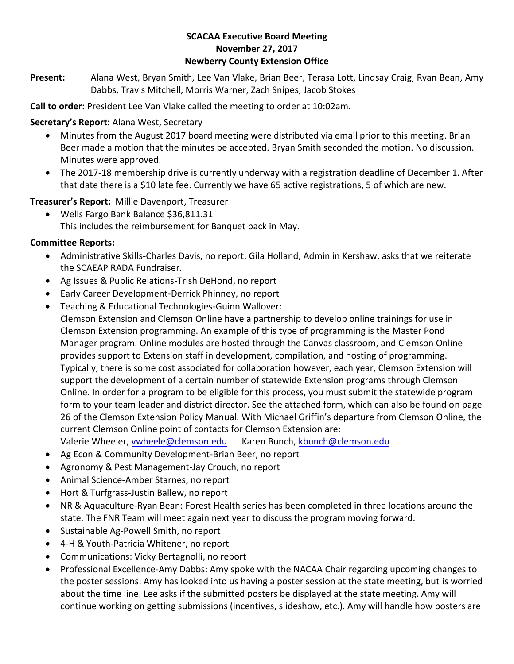### **SCACAA Executive Board Meeting November 27, 2017 Newberry County Extension Office**

**Present:** Alana West, Bryan Smith, Lee Van Vlake, Brian Beer, Terasa Lott, Lindsay Craig, Ryan Bean, Amy Dabbs, Travis Mitchell, Morris Warner, Zach Snipes, Jacob Stokes

**Call to order:** President Lee Van Vlake called the meeting to order at 10:02am.

**Secretary's Report:** Alana West, Secretary

- Minutes from the August 2017 board meeting were distributed via email prior to this meeting. Brian Beer made a motion that the minutes be accepted. Bryan Smith seconded the motion. No discussion. Minutes were approved.
- The 2017-18 membership drive is currently underway with a registration deadline of December 1. After that date there is a \$10 late fee. Currently we have 65 active registrations, 5 of which are new.

**Treasurer's Report:** Millie Davenport, Treasurer

• Wells Fargo Bank Balance \$36,811.31 This includes the reimbursement for Banquet back in May.

## **Committee Reports:**

- Administrative Skills-Charles Davis, no report. Gila Holland, Admin in Kershaw, asks that we reiterate the SCAEAP RADA Fundraiser.
- Ag Issues & Public Relations-Trish DeHond, no report
- Early Career Development-Derrick Phinney, no report
- Teaching & Educational Technologies-Guinn Wallover:
- Clemson Extension and Clemson Online have a partnership to develop online trainings for use in Clemson Extension programming. An example of this type of programming is the Master Pond Manager program. Online modules are hosted through the Canvas classroom, and Clemson Online provides support to Extension staff in development, compilation, and hosting of programming. Typically, there is some cost associated for collaboration however, each year, Clemson Extension will support the development of a certain number of statewide Extension programs through Clemson Online. In order for a program to be eligible for this process, you must submit the statewide program form to your team leader and district director. See the attached form, which can also be found on page 26 of the Clemson Extension Policy Manual. With Michael Griffin's departure from Clemson Online, the current Clemson Online point of contacts for Clemson Extension are:
- Valerie Wheeler, [vwheele@clemson.edu](mailto:vwheele@clemson.edu) Karen Bunch, [kbunch@clemson.edu](mailto:kbunch@clemson.edu)
- Ag Econ & Community Development-Brian Beer, no report
- Agronomy & Pest Management-Jay Crouch, no report
- Animal Science-Amber Starnes, no report
- Hort & Turfgrass-Justin Ballew, no report
- NR & Aquaculture-Ryan Bean: Forest Health series has been completed in three locations around the state. The FNR Team will meet again next year to discuss the program moving forward.
- Sustainable Ag-Powell Smith, no report
- 4-H & Youth-Patricia Whitener, no report
- Communications: Vicky Bertagnolli, no report
- Professional Excellence-Amy Dabbs: Amy spoke with the NACAA Chair regarding upcoming changes to the poster sessions. Amy has looked into us having a poster session at the state meeting, but is worried about the time line. Lee asks if the submitted posters be displayed at the state meeting. Amy will continue working on getting submissions (incentives, slideshow, etc.). Amy will handle how posters are